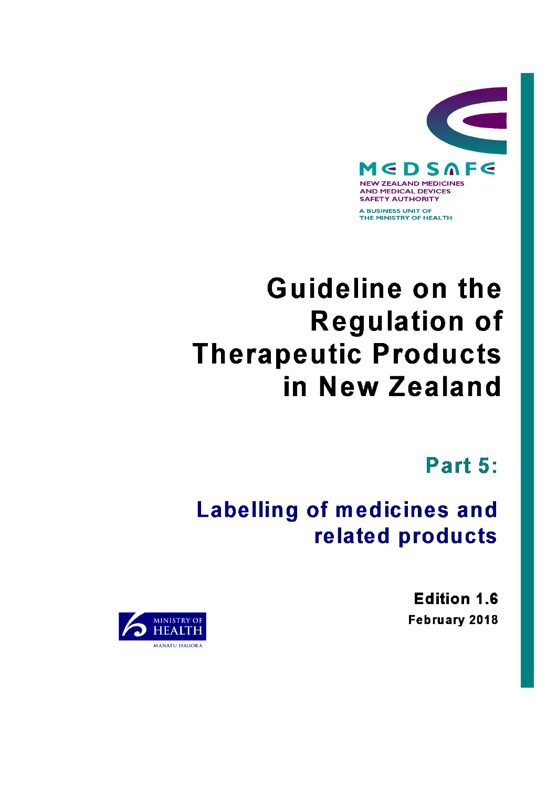

# **Guideline on the Regulation of Therapeutic Products** in New Zealand

Part 5:

## **Labelling of medicines and** related products

**Edition 1.6** February 2018

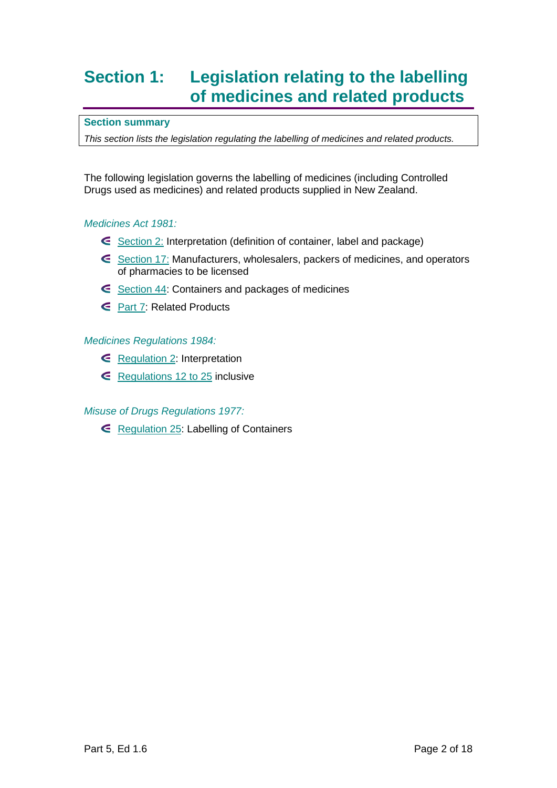### **Section 1: Legislation relating to the labelling of medicines and related products**

#### **Section summary**

*This section lists the legislation regulating the labelling of medicines and related products.*

The following legislation governs the labelling of medicines (including Controlled Drugs used as medicines) and related products supplied in New Zealand.

#### *Medicines Act 1981:*

- [Section 2:](http://www.legislation.govt.nz/act/public/1981/0118/latest/whole.html#DLM53795) Interpretation (definition of container, label and package)
- [Section 17:](http://www.legislation.govt.nz/act/public/1981/0118/latest/whole.html#DLM55034) Manufacturers, wholesalers, packers of medicines, and operators of pharmacies to be licensed
- [Section 44:](http://www.legislation.govt.nz/act/public/1981/0118/latest/whole.html#DLM55467) Containers and packages of medicines
- [Part 7:](http://www.legislation.govt.nz/act/public/1981/0118/latest/whole.html#DLM56097) Related Products

#### *Medicines Regulations 1984:*

- [Regulation 2:](http://www.legislation.govt.nz/regulation/public/1984/0143/latest/whole.html#DLM95672) Interpretation
- $\epsilon$  [Regulations 12 to 25](http://www.legislation.govt.nz/regulation/public/1984/0143/latest/whole.html#DLM96155) inclusive

#### *Misuse of Drugs Regulations 1977:*

[Regulation 25:](http://www.legislation.govt.nz/regulation/public/1977/0037/latest/whole.html#DLM55378) Labelling of Containers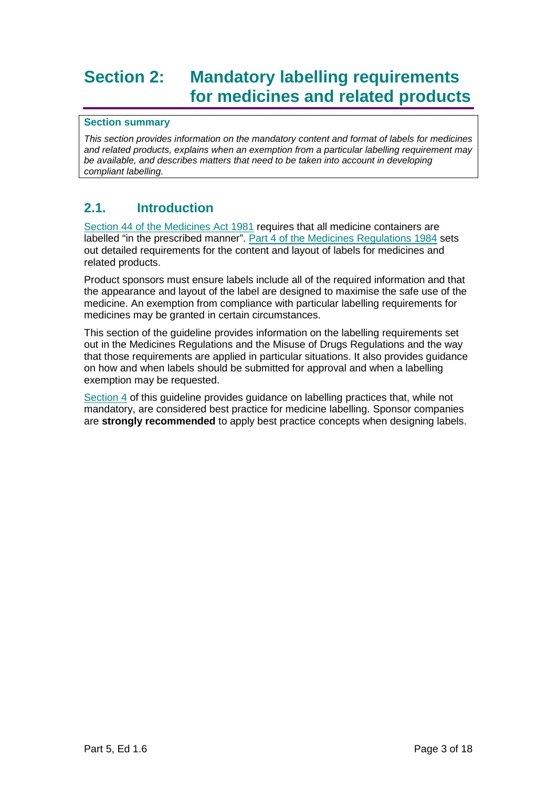### **Section 2: Mandatory labelling requirements for medicines and related products**

#### **Section summary**

*This section provides information on the mandatory content and format of labels for medicines and related products, explains when an exemption from a particular labelling requirement may be available, and describes matters that need to be taken into account in developing compliant labelling.*

#### **2.1. Introduction**

[Section 44 of the Medicines Act 1981](http://www.legislation.govt.nz/act/public/1981/0118/latest/whole.html#dlm53790) requires that all medicine containers are labelled "in the prescribed manner". Part 4 [of the Medicines Regulations 1984](http://www.legislation.govt.nz/regulation/public/1984/0143/latest/whole.html?search=ts_regulation_Medicines+Regulations+1984_resel&p=1#dlm95668) sets out detailed requirements for the content and layout of labels for medicines and related products.

Product sponsors must ensure labels include all of the required information and that the appearance and layout of the label are designed to maximise the safe use of the medicine. An exemption from compliance with particular labelling requirements for medicines may be granted in certain circumstances.

This section of the guideline provides information on the labelling requirements set out in the Medicines Regulations and the Misuse of Drugs Regulations and the way that those requirements are applied in particular situations. It also provides guidance on how and when labels should be submitted for approval and when a labelling exemption may be requested.

[Section 4](#page-15-0) of this guideline provides guidance on labelling practices that, while not mandatory, are considered best practice for medicine labelling. Sponsor companies are **strongly recommended** to apply best practice concepts when designing labels.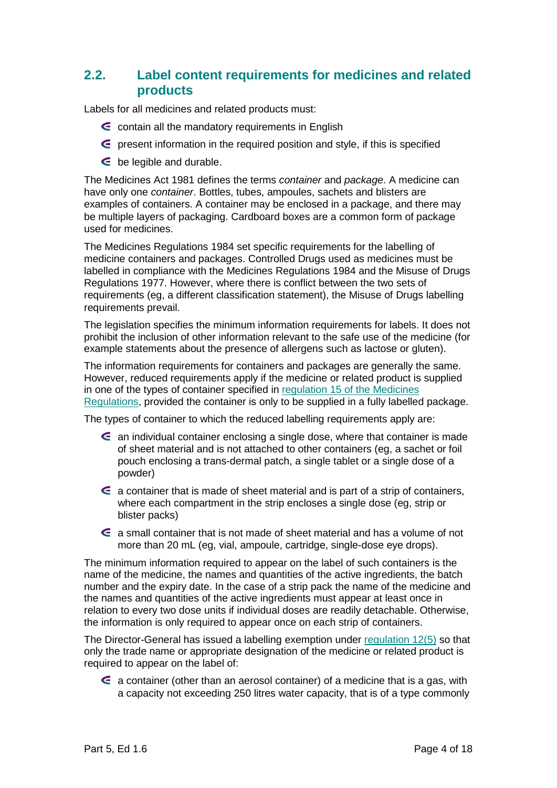#### <span id="page-3-0"></span>**2.2. Label content requirements for medicines and related products**

Labels for all medicines and related products must:

- $\epsilon$  contain all the mandatory requirements in English
- $\epsilon$  present information in the required position and style, if this is specified
- $\epsilon$  be legible and durable.

The Medicines Act 1981 defines the terms *container* and *package*. A medicine can have only one *container*. Bottles, tubes, ampoules, sachets and blisters are examples of containers. A container may be enclosed in a package, and there may be multiple layers of packaging. Cardboard boxes are a common form of package used for medicines.

The Medicines Regulations 1984 set specific requirements for the labelling of medicine containers and packages. Controlled Drugs used as medicines must be labelled in compliance with the Medicines Regulations 1984 and the Misuse of Drugs Regulations 1977. However, where there is conflict between the two sets of requirements (eg, a different classification statement), the Misuse of Drugs labelling requirements prevail.

The legislation specifies the minimum information requirements for labels. It does not prohibit the inclusion of other information relevant to the safe use of the medicine (for example statements about the presence of allergens such as lactose or gluten).

The information requirements for containers and packages are generally the same. However, reduced requirements apply if the medicine or related product is supplied in one of the types of container specified in regulation 15 [of the Medicines](http://www.legislation.govt.nz/regulation/public/1984/0143/latest/DLM96166.html?search=ts_regulation_medicines_resel&p=1)  [Regulations,](http://www.legislation.govt.nz/regulation/public/1984/0143/latest/DLM96166.html?search=ts_regulation_medicines_resel&p=1) provided the container is only to be supplied in a fully labelled package.

The types of container to which the reduced labelling requirements apply are:

- an individual container enclosing a single dose, where that container is made of sheet material and is not attached to other containers (eg, a sachet or foil pouch enclosing a trans-dermal patch, a single tablet or a single dose of a powder)
- $\epsilon$  a container that is made of sheet material and is part of a strip of containers, where each compartment in the strip encloses a single dose (eg, strip or blister packs)
- a small container that is not made of sheet material and has a volume of not more than 20 mL (eg, vial, ampoule, cartridge, single-dose eye drops).

The minimum information required to appear on the label of such containers is the name of the medicine, the names and quantities of the active ingredients, the batch number and the expiry date. In the case of a strip pack the name of the medicine and the names and quantities of the active ingredients must appear at least once in relation to every two dose units if individual doses are readily detachable. Otherwise, the information is only required to appear once on each strip of containers.

The Director-General has issued a labelling exemption under [regulation 12\(5\)](http://www.legislation.govt.nz/regulation/public/1984/0143/latest/DLM96155.html?search=ts_regulation_medicines_resel&p=1) so that only the trade name or appropriate designation of the medicine or related product is required to appear on the label of:

 $\epsilon$  a container (other than an aerosol container) of a medicine that is a gas, with a capacity not exceeding 250 litres water capacity, that is of a type commonly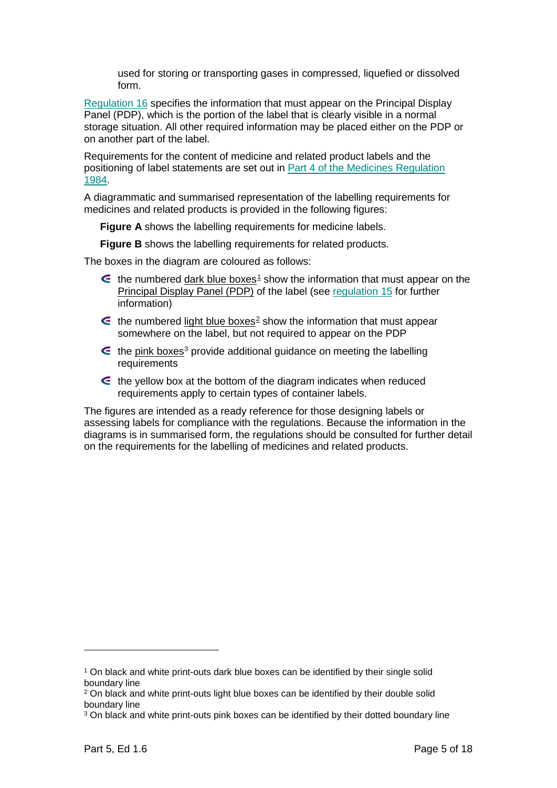used for storing or transporting gases in compressed, liquefied or dissolved form.

[Regulation 16](http://www.legislation.govt.nz/regulation/public/1984/0143/latest/DLM96169.html?search=ts_regulation_medicines_resel&p=1) specifies the information that must appear on the Principal Display Panel (PDP), which is the portion of the label that is clearly visible in a normal storage situation. All other required information may be placed either on the PDP or on another part of the label.

Requirements for the content of medicine and related product labels and the positioning of label statements are set out in [Part 4 of the Medicines Regulation](http://www.legislation.govt.nz/regulation/public/1984/0143/latest/whole.html#DLM96155)  [1984.](http://www.legislation.govt.nz/regulation/public/1984/0143/latest/whole.html#DLM96155)

A diagrammatic and summarised representation of the labelling requirements for medicines and related products is provided in the following figures:

**Figure A** shows the labelling requirements for medicine labels.

**Figure B** shows the labelling requirements for related products.

The boxes in the diagram are coloured as follows:

- $\epsilon$  the numbered dark blue boxes<sup>[1](#page-4-0)</sup> show the information that must appear on the Principal Display Panel (PDP) of the label (see [regulation 15](http://www.legislation.govt.nz/regulation/public/1984/0143/latest/DLM96166.html?search=ts_regulation_medicines_resel&p=1) for further information)
- $\epsilon$  the numbered light blue boxes<sup>[2](#page-4-1)</sup> show the information that must appear somewhere on the label, but not required to appear on the PDP
- $\epsilon$  the pink boxes<sup>[3](#page-4-2)</sup> provide additional guidance on meeting the labelling requirements
- $\epsilon$  the yellow box at the bottom of the diagram indicates when reduced requirements apply to certain types of container labels.

The figures are intended as a ready reference for those designing labels or assessing labels for compliance with the regulations. Because the information in the diagrams is in summarised form, the regulations should be consulted for further detail on the requirements for the labelling of medicines and related products.

 $\ddot{\phantom{a}}$ 

<span id="page-4-0"></span><sup>1</sup> On black and white print-outs dark blue boxes can be identified by their single solid boundary line

<span id="page-4-1"></span><sup>&</sup>lt;sup>2</sup> On black and white print-outs light blue boxes can be identified by their double solid boundary line

<span id="page-4-2"></span><sup>&</sup>lt;sup>3</sup> On black and white print-outs pink boxes can be identified by their dotted boundary line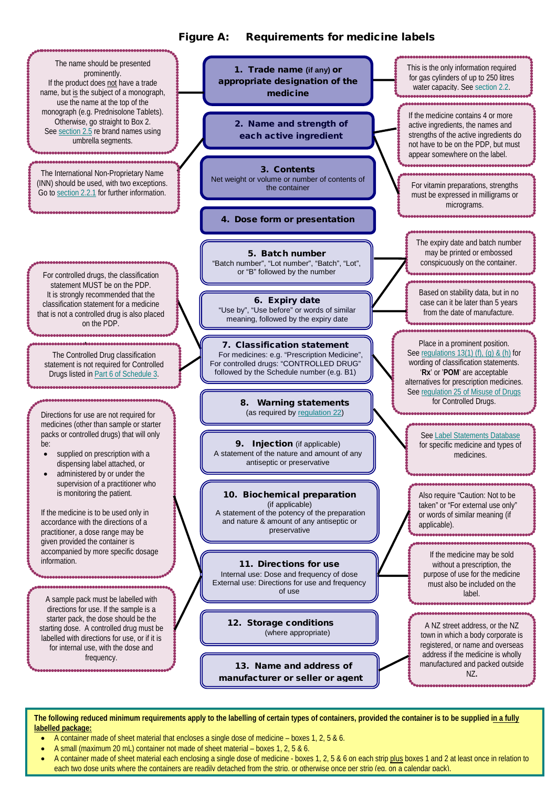#### Figure A: Requirements for medicine labels



The following reduced minimum requirements apply to the labelling of certain types of containers, provided the container is to be supplied in a fully **labelled package:**

- A container made of sheet material that encloses a single dose of medicine boxes 1, 2, 5 & 6.
- A small (maximum 20 mL) container not made of sheet material boxes 1, 2, 5 & 6.
- A container made of sheet material each enclosing a single dose of medicine boxes 1, 2, 5 & 6 on each strip plus boxes 1 and 2 at least once in relation to each two dose units where the containers are readily detached from the strip, or otherwise once per strip (eq. on a calendar pack).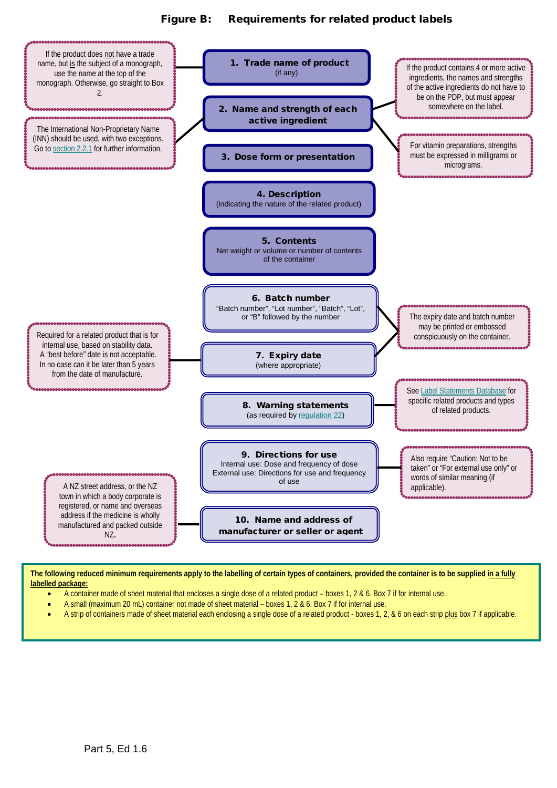#### Figure B: Requirements for related product labels



The following reduced minimum requirements apply to the labelling of certain types of containers, provided the container is to be supplied in a fully **labelled package:**

- A container made of sheet material that encloses a single dose of a related product boxes 1, 2 & 6. Box 7 if for internal use.
- A small (maximum 20 mL) container not made of sheet material boxes 1, 2 & 6. Box 7 if for internal use.
- A strip of containers made of sheet material each enclosing a single dose of a related product boxes 1, 2, & 6 on each strip plus box 7 if applicable.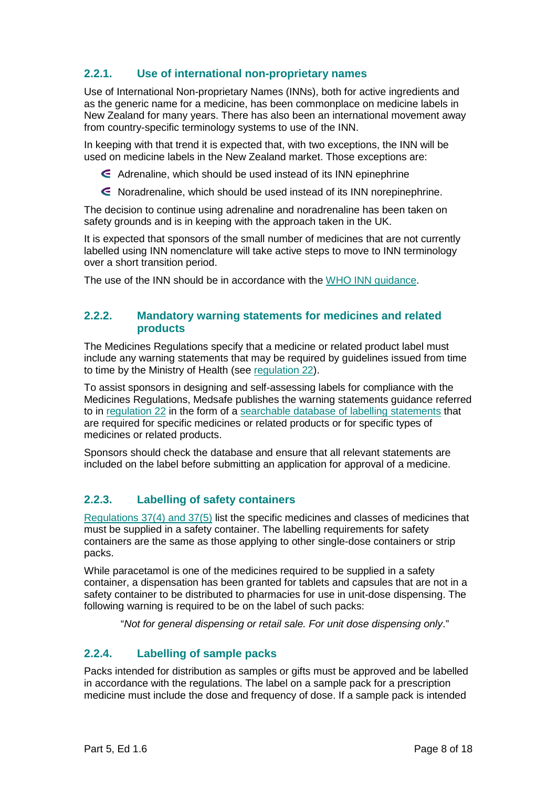#### <span id="page-7-0"></span>**2.2.1. Use of international non-proprietary names**

Use of International Non-proprietary Names (INNs), both for active ingredients and as the generic name for a medicine, has been commonplace on medicine labels in New Zealand for many years. There has also been an international movement away from country-specific terminology systems to use of the INN.

In keeping with that trend it is expected that, with two exceptions, the INN will be used on medicine labels in the New Zealand market. Those exceptions are:

- Adrenaline, which should be used instead of its INN epinephrine
- Noradrenaline, which should be used instead of its INN norepinephrine.

The decision to continue using adrenaline and noradrenaline has been taken on safety grounds and is in keeping with the approach taken in the UK.

It is expected that sponsors of the small number of medicines that are not currently labelled using INN nomenclature will take active steps to move to INN terminology over a short transition period.

The use of the INN should be in accordance with the [WHO INN guidance.](http://www.who.int/medicines/services/inn/publication/en/)

#### **2.2.2. Mandatory warning statements for medicines and related products**

The Medicines Regulations specify that a medicine or related product label must include any warning statements that may be required by guidelines issued from time to time by the Ministry of Health (see [regulation 22\)](http://www.legislation.govt.nz/regulation/public/1984/0143/latest/DLM96186.html?search=ts_regulation_medicines_resel&p=1http://www.legislation.govt.nz/regulation/public/1984/0143/latest/DLM96186.html?search=ts_regulation_medicines_resel&p=1).

To assist sponsors in designing and self-assessing labels for compliance with the Medicines Regulations, Medsafe publishes the warning statements guidance referred to in [regulation 22](http://www.legislation.govt.nz/regulation/public/1984/0143/latest/DLM96186.html?search=ts_regulation_medicines_resel&p=1http://www.legislation.govt.nz/regulation/public/1984/0143/latest/DLM96186.html?search=ts_regulation_medicines_resel&p=1) in the form of a [searchable database of labelling statements](http://www.medsafe.govt.nz/regulatory/labelling.asp) that are required for specific medicines or related products or for specific types of medicines or related products.

Sponsors should check the database and ensure that all relevant statements are included on the label before submitting an application for approval of a medicine.

#### **2.2.3. Labelling of safety containers**

Regulations [37\(4\) and 37\(5\)](http://www.legislation.govt.nz/regulation/public/1984/0143/latest/DLM96512.html?search=ts_regulation_medicines_resel&p=1) list the specific medicines and classes of medicines that must be supplied in a safety container. The labelling requirements for safety containers are the same as those applying to other single-dose containers or strip packs.

While paracetamol is one of the medicines required to be supplied in a safety container, a dispensation has been granted for tablets and capsules that are not in a safety container to be distributed to pharmacies for use in unit-dose dispensing. The following warning is required to be on the label of such packs:

"*Not for general dispensing or retail sale. For unit dose dispensing only*."

#### **2.2.4. Labelling of sample packs**

Packs intended for distribution as samples or gifts must be approved and be labelled in accordance with the regulations. The label on a sample pack for a prescription medicine must include the dose and frequency of dose. If a sample pack is intended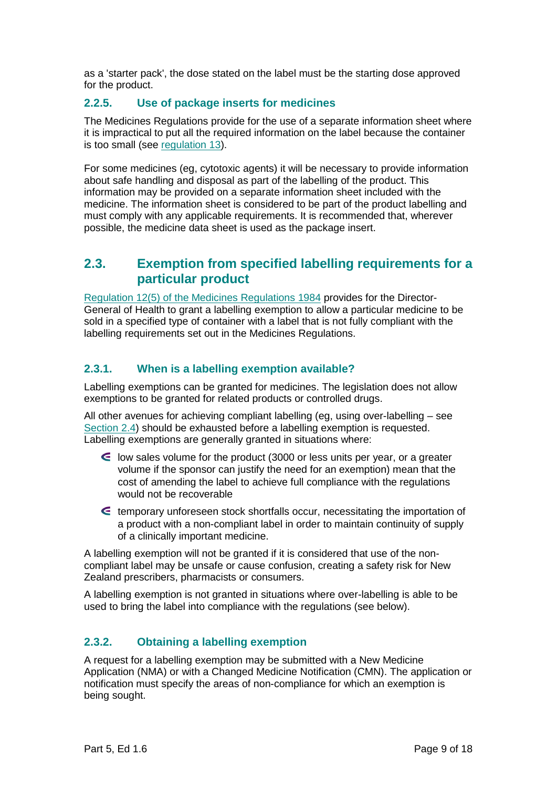as a 'starter pack', the dose stated on the label must be the starting dose approved for the product.

#### **2.2.5. Use of package inserts for medicines**

The Medicines Regulations provide for the use of a separate information sheet where it is impractical to put all the required information on the label because the container is too small (see [regulation 13\)](http://www.legislation.govt.nz/regulation/public/1984/0143/latest/DLM96156.html?search=ts_regulation_medicines_resel&p=1).

For some medicines (eg, cytotoxic agents) it will be necessary to provide information about safe handling and disposal as part of the labelling of the product. This information may be provided on a separate information sheet included with the medicine. The information sheet is considered to be part of the product labelling and must comply with any applicable requirements. It is recommended that, wherever possible, the medicine data sheet is used as the package insert.

#### <span id="page-8-0"></span>**2.3. Exemption from specified labelling requirements for a particular product**

[Regulation 12\(5\) of the Medicines Regulations 1984](http://www.legislation.govt.nz/regulation/public/1984/0143/latest/DLM96155.html?search=ts_regulation_Medicines+Regulations+1984_resel&p=1) provides for the Director-General of Health to grant a labelling exemption to allow a particular medicine to be sold in a specified type of container with a label that is not fully compliant with the labelling requirements set out in the Medicines Regulations.

#### **2.3.1. When is a labelling exemption available?**

Labelling exemptions can be granted for medicines. The legislation does not allow exemptions to be granted for related products or controlled drugs.

All other avenues for achieving compliant labelling (eg, using over-labelling – see [Section 2.4\)](#page-9-1) should be exhausted before a labelling exemption is requested. Labelling exemptions are generally granted in situations where:

- low sales volume for the product (3000 or less units per year, or a greater volume if the sponsor can justify the need for an exemption) mean that the cost of amending the label to achieve full compliance with the regulations would not be recoverable
- temporary unforeseen stock shortfalls occur, necessitating the importation of a product with a non-compliant label in order to maintain continuity of supply of a clinically important medicine.

A labelling exemption will not be granted if it is considered that use of the noncompliant label may be unsafe or cause confusion, creating a safety risk for New Zealand prescribers, pharmacists or consumers.

A labelling exemption is not granted in situations where over-labelling is able to be used to bring the label into compliance with the regulations (see below).

#### **2.3.2. Obtaining a labelling exemption**

A request for a labelling exemption may be submitted with a New Medicine Application (NMA) or with a Changed Medicine Notification (CMN). The application or notification must specify the areas of non-compliance for which an exemption is being sought.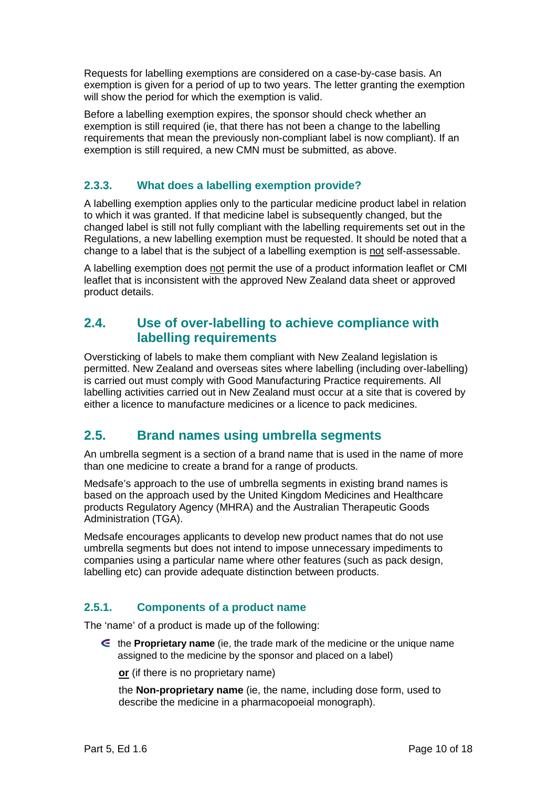Requests for labelling exemptions are considered on a case-by-case basis. An exemption is given for a period of up to two years. The letter granting the exemption will show the period for which the exemption is valid.

Before a labelling exemption expires, the sponsor should check whether an exemption is still required (ie, that there has not been a change to the labelling requirements that mean the previously non-compliant label is now compliant). If an exemption is still required, a new CMN must be submitted, as above.

#### **2.3.3. What does a labelling exemption provide?**

A labelling exemption applies only to the particular medicine product label in relation to which it was granted. If that medicine label is subsequently changed, but the changed label is still not fully compliant with the labelling requirements set out in the Regulations, a new labelling exemption must be requested. It should be noted that a change to a label that is the subject of a labelling exemption is not self-assessable.

A labelling exemption does not permit the use of a product information leaflet or CMI leaflet that is inconsistent with the approved New Zealand data sheet or approved product details.

#### <span id="page-9-1"></span>**2.4. Use of over-labelling to achieve compliance with labelling requirements**

Oversticking of labels to make them compliant with New Zealand legislation is permitted. New Zealand and overseas sites where labelling (including over-labelling) is carried out must comply with Good Manufacturing Practice requirements. All labelling activities carried out in New Zealand must occur at a site that is covered by either a licence to manufacture medicines or a licence to pack medicines.

#### <span id="page-9-0"></span>**2.5. Brand names using umbrella segments**

An umbrella segment is a section of a brand name that is used in the name of more than one medicine to create a brand for a range of products.

Medsafe's approach to the use of umbrella segments in existing brand names is based on the approach used by the United Kingdom Medicines and Healthcare products Regulatory Agency (MHRA) and the Australian Therapeutic Goods Administration (TGA).

Medsafe encourages applicants to develop new product names that do not use umbrella segments but does not intend to impose unnecessary impediments to companies using a particular name where other features (such as pack design, labelling etc) can provide adequate distinction between products.

#### **2.5.1. Components of a product name**

The 'name' of a product is made up of the following:

the **Proprietary name** (ie, the trade mark of the medicine or the unique name assigned to the medicine by the sponsor and placed on a label)

**or** (if there is no proprietary name)

the **Non-proprietary name** (ie, the name, including dose form, used to describe the medicine in a pharmacopoeial monograph).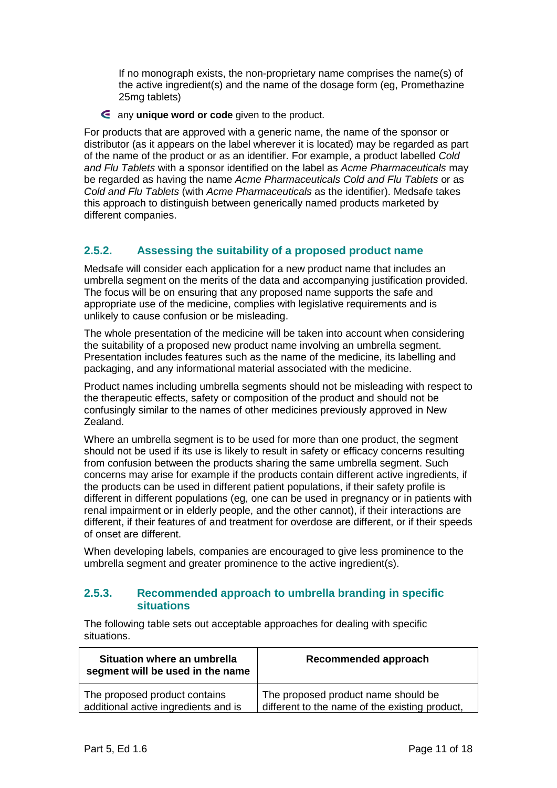If no monograph exists, the non-proprietary name comprises the name(s) of the active ingredient(s) and the name of the dosage form (eg, Promethazine 25mg tablets)

any **unique word or code** given to the product.

For products that are approved with a generic name, the name of the sponsor or distributor (as it appears on the label wherever it is located) may be regarded as part of the name of the product or as an identifier. For example, a product labelled *Cold and Flu Tablets* with a sponsor identified on the label as *Acme Pharmaceuticals* may be regarded as having the name *Acme Pharmaceuticals Cold and Flu Tablets* or as *Cold and Flu Tablets* (with *Acme Pharmaceuticals* as the identifier). Medsafe takes this approach to distinguish between generically named products marketed by different companies.

#### **2.5.2. Assessing the suitability of a proposed product name**

Medsafe will consider each application for a new product name that includes an umbrella segment on the merits of the data and accompanying justification provided. The focus will be on ensuring that any proposed name supports the safe and appropriate use of the medicine, complies with legislative requirements and is unlikely to cause confusion or be misleading.

The whole presentation of the medicine will be taken into account when considering the suitability of a proposed new product name involving an umbrella segment. Presentation includes features such as the name of the medicine, its labelling and packaging, and any informational material associated with the medicine.

Product names including umbrella segments should not be misleading with respect to the therapeutic effects, safety or composition of the product and should not be confusingly similar to the names of other medicines previously approved in New Zealand.

Where an umbrella segment is to be used for more than one product, the segment should not be used if its use is likely to result in safety or efficacy concerns resulting from confusion between the products sharing the same umbrella segment. Such concerns may arise for example if the products contain different active ingredients, if the products can be used in different patient populations, if their safety profile is different in different populations (eg, one can be used in pregnancy or in patients with renal impairment or in elderly people, and the other cannot), if their interactions are different, if their features of and treatment for overdose are different, or if their speeds of onset are different.

When developing labels, companies are encouraged to give less prominence to the umbrella segment and greater prominence to the active ingredient(s).

#### **2.5.3. Recommended approach to umbrella branding in specific situations**

The following table sets out acceptable approaches for dealing with specific situations.

| Situation where an umbrella<br>segment will be used in the name | Recommended approach                           |
|-----------------------------------------------------------------|------------------------------------------------|
| The proposed product contains                                   | The proposed product name should be            |
| additional active ingredients and is                            | different to the name of the existing product, |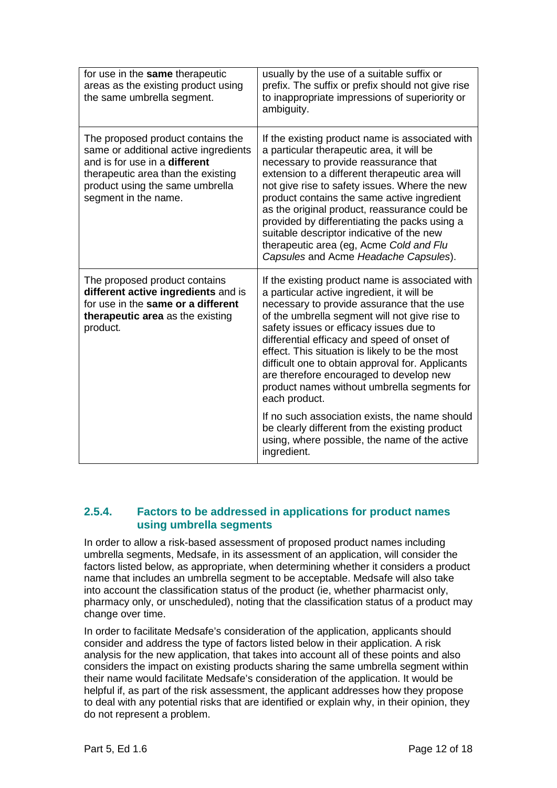| for use in the same therapeutic<br>areas as the existing product using<br>the same umbrella segment.                                                                                                                | usually by the use of a suitable suffix or<br>prefix. The suffix or prefix should not give rise<br>to inappropriate impressions of superiority or<br>ambiguity.                                                                                                                                                                                                                                                                                                                                                                                                                                                                                                               |
|---------------------------------------------------------------------------------------------------------------------------------------------------------------------------------------------------------------------|-------------------------------------------------------------------------------------------------------------------------------------------------------------------------------------------------------------------------------------------------------------------------------------------------------------------------------------------------------------------------------------------------------------------------------------------------------------------------------------------------------------------------------------------------------------------------------------------------------------------------------------------------------------------------------|
| The proposed product contains the<br>same or additional active ingredients<br>and is for use in a <b>different</b><br>therapeutic area than the existing<br>product using the same umbrella<br>segment in the name. | If the existing product name is associated with<br>a particular therapeutic area, it will be<br>necessary to provide reassurance that<br>extension to a different therapeutic area will<br>not give rise to safety issues. Where the new<br>product contains the same active ingredient<br>as the original product, reassurance could be<br>provided by differentiating the packs using a<br>suitable descriptor indicative of the new<br>therapeutic area (eg, Acme Cold and Flu<br>Capsules and Acme Headache Capsules).                                                                                                                                                    |
| The proposed product contains<br>different active ingredients and is<br>for use in the same or a different<br>therapeutic area as the existing<br>product.                                                          | If the existing product name is associated with<br>a particular active ingredient, it will be<br>necessary to provide assurance that the use<br>of the umbrella segment will not give rise to<br>safety issues or efficacy issues due to<br>differential efficacy and speed of onset of<br>effect. This situation is likely to be the most<br>difficult one to obtain approval for. Applicants<br>are therefore encouraged to develop new<br>product names without umbrella segments for<br>each product.<br>If no such association exists, the name should<br>be clearly different from the existing product<br>using, where possible, the name of the active<br>ingredient. |

#### **2.5.4. Factors to be addressed in applications for product names using umbrella segments**

In order to allow a risk-based assessment of proposed product names including umbrella segments, Medsafe, in its assessment of an application, will consider the factors listed below, as appropriate, when determining whether it considers a product name that includes an umbrella segment to be acceptable. Medsafe will also take into account the classification status of the product (ie, whether pharmacist only, pharmacy only, or unscheduled), noting that the classification status of a product may change over time.

In order to facilitate Medsafe's consideration of the application, applicants should consider and address the type of factors listed below in their application. A risk analysis for the new application, that takes into account all of these points and also considers the impact on existing products sharing the same umbrella segment within their name would facilitate Medsafe's consideration of the application. It would be helpful if, as part of the risk assessment, the applicant addresses how they propose to deal with any potential risks that are identified or explain why, in their opinion, they do not represent a problem.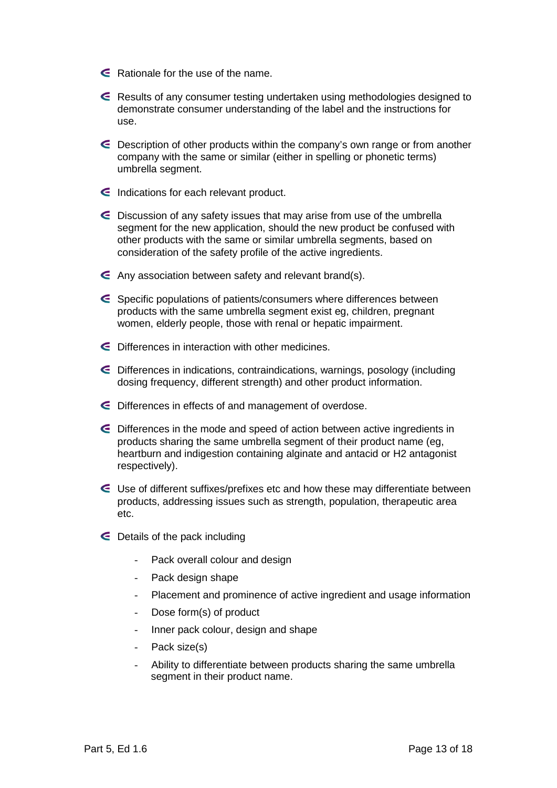- Rationale for the use of the name.
- Results of any consumer testing undertaken using methodologies designed to demonstrate consumer understanding of the label and the instructions for use.
- Description of other products within the company's own range or from another company with the same or similar (either in spelling or phonetic terms) umbrella segment.
- $\epsilon$  Indications for each relevant product.
- $\epsilon$  Discussion of any safety issues that may arise from use of the umbrella segment for the new application, should the new product be confused with other products with the same or similar umbrella segments, based on consideration of the safety profile of the active ingredients.
- Any association between safety and relevant brand(s).
- Specific populations of patients/consumers where differences between products with the same umbrella segment exist eg, children, pregnant women, elderly people, those with renal or hepatic impairment.
- Differences in interaction with other medicines.
- Differences in indications, contraindications, warnings, posology (including dosing frequency, different strength) and other product information.
- Differences in effects of and management of overdose.
- Differences in the mode and speed of action between active ingredients in products sharing the same umbrella segment of their product name (eg, heartburn and indigestion containing alginate and antacid or H2 antagonist respectively).
- Use of different suffixes/prefixes etc and how these may differentiate between products, addressing issues such as strength, population, therapeutic area etc.
- Details of the pack including
	- Pack overall colour and design
	- Pack design shape
	- Placement and prominence of active ingredient and usage information
	- Dose form(s) of product
	- Inner pack colour, design and shape
	- Pack size(s)
	- Ability to differentiate between products sharing the same umbrella segment in their product name.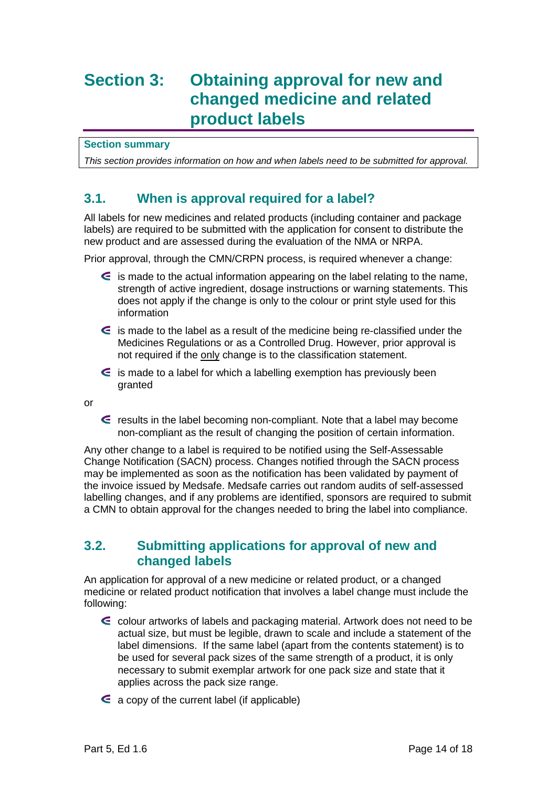### **Section 3: Obtaining approval for new and changed medicine and related product labels**

**Section summary**

*This section provides information on how and when labels need to be submitted for approval.*

#### **3.1. When is approval required for a label?**

All labels for new medicines and related products (including container and package labels) are required to be submitted with the application for consent to distribute the new product and are assessed during the evaluation of the NMA or NRPA.

Prior approval, through the CMN/CRPN process, is required whenever a change:

- $\epsilon$  is made to the actual information appearing on the label relating to the name, strength of active ingredient, dosage instructions or warning statements. This does not apply if the change is only to the colour or print style used for this information
- $\epsilon$  is made to the label as a result of the medicine being re-classified under the Medicines Regulations or as a Controlled Drug. However, prior approval is not required if the only change is to the classification statement.
- $\epsilon$  is made to a label for which a labelling exemption has previously been granted

or

results in the label becoming non-compliant. Note that a label may become non-compliant as the result of changing the position of certain information.

Any other change to a label is required to be notified using the Self-Assessable Change Notification (SACN) process. Changes notified through the SACN process may be implemented as soon as the notification has been validated by payment of the invoice issued by Medsafe. Medsafe carries out random audits of self-assessed labelling changes, and if any problems are identified, sponsors are required to submit a CMN to obtain approval for the changes needed to bring the label into compliance.

#### **3.2. Submitting applications for approval of new and changed labels**

An application for approval of a new medicine or related product, or a changed medicine or related product notification that involves a label change must include the following:

- colour artworks of labels and packaging material. Artwork does not need to be actual size, but must be legible, drawn to scale and include a statement of the label dimensions. If the same label (apart from the contents statement) is to be used for several pack sizes of the same strength of a product, it is only necessary to submit exemplar artwork for one pack size and state that it applies across the pack size range.
- $\epsilon$  a copy of the current label (if applicable)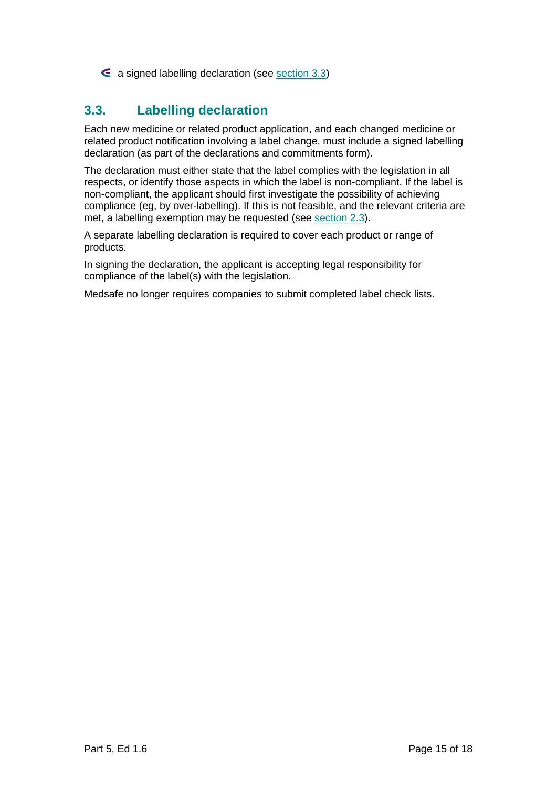$\epsilon$  a signed labelling declaration (see [section 3.3\)](#page-14-0)

#### <span id="page-14-0"></span>**3.3. Labelling declaration**

Each new medicine or related product application, and each changed medicine or related product notification involving a label change, must include a signed labelling declaration (as part of the declarations and commitments form).

The declaration must either state that the label complies with the legislation in all respects, or identify those aspects in which the label is non-compliant. If the label is non-compliant, the applicant should first investigate the possibility of achieving compliance (eg, by over-labelling). If this is not feasible, and the relevant criteria are met, a labelling exemption may be requested (see [section 2.3\)](#page-8-0).

A separate labelling declaration is required to cover each product or range of products.

In signing the declaration, the applicant is accepting legal responsibility for compliance of the label(s) with the legislation.

Medsafe no longer requires companies to submit completed label check lists.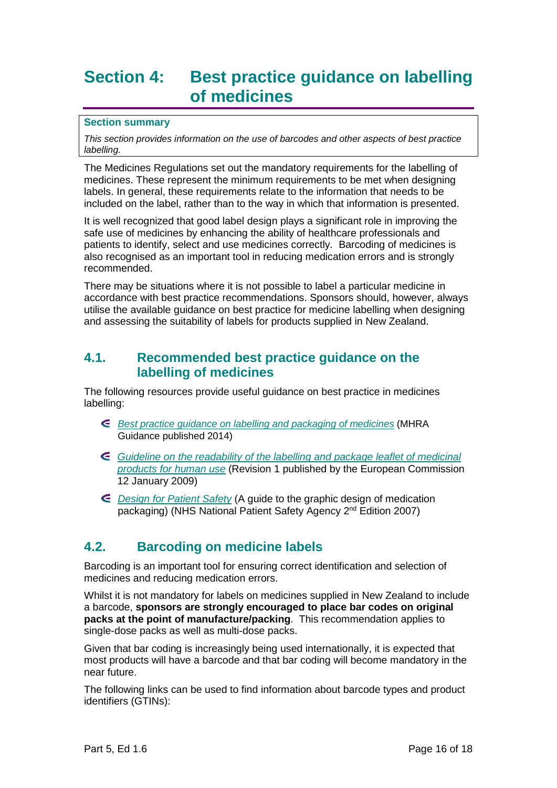### <span id="page-15-0"></span>**Section 4: Best practice guidance on labelling of medicines**

#### **Section summary**

*This section provides information on the use of barcodes and other aspects of best practice labelling.*

The Medicines Regulations set out the mandatory requirements for the labelling of medicines. These represent the minimum requirements to be met when designing labels. In general, these requirements relate to the information that needs to be included on the label, rather than to the way in which that information is presented.

It is well recognized that good label design plays a significant role in improving the safe use of medicines by enhancing the ability of healthcare professionals and patients to identify, select and use medicines correctly. Barcoding of medicines is also recognised as an important tool in reducing medication errors and is strongly recommended.

There may be situations where it is not possible to label a particular medicine in accordance with best practice recommendations. Sponsors should, however, always utilise the available guidance on best practice for medicine labelling when designing and assessing the suitability of labels for products supplied in New Zealand.

#### **4.1. Recommended best practice guidance on the labelling of medicines**

The following resources provide useful guidance on best practice in medicines labelling:

- *Best [practice guidance on labelling and packaging of medicines](https://www.gov.uk/government/publications/best-practice-in-the-labelling-and-packaging-of-medicines)* (MHRA Guidance published 2014)
- *[Guideline on the readability of the labelling and package leaflet of medicinal](http://ec.europa.eu/health/files/eudralex/vol-2/c/2009_01_12_readability_guideline_final_en.pdf)  [products for human use](http://ec.europa.eu/health/files/eudralex/vol-2/c/2009_01_12_readability_guideline_final_en.pdf)* (Revision 1 published by the European Commission 12 January 2009)
- *[Design for Patient Safety](http://www.nrls.npsa.nhs.uk/resources/collections/design-for-patient-safety/?entryid45=63053)* (A guide to the graphic design of medication packaging) (NHS National Patient Safety Agency 2<sup>nd</sup> Edition 2007)

#### **4.2. Barcoding on medicine labels**

Barcoding is an important tool for ensuring correct identification and selection of medicines and reducing medication errors.

Whilst it is not mandatory for labels on medicines supplied in New Zealand to include a barcode, **sponsors are strongly encouraged to place bar codes on original packs at the point of manufacture/packing**. This recommendation applies to single-dose packs as well as multi-dose packs.

Given that bar coding is increasingly being used internationally, it is expected that most products will have a barcode and that bar coding will become mandatory in the near future.

The following links can be used to find information about barcode types and product identifiers (GTINs):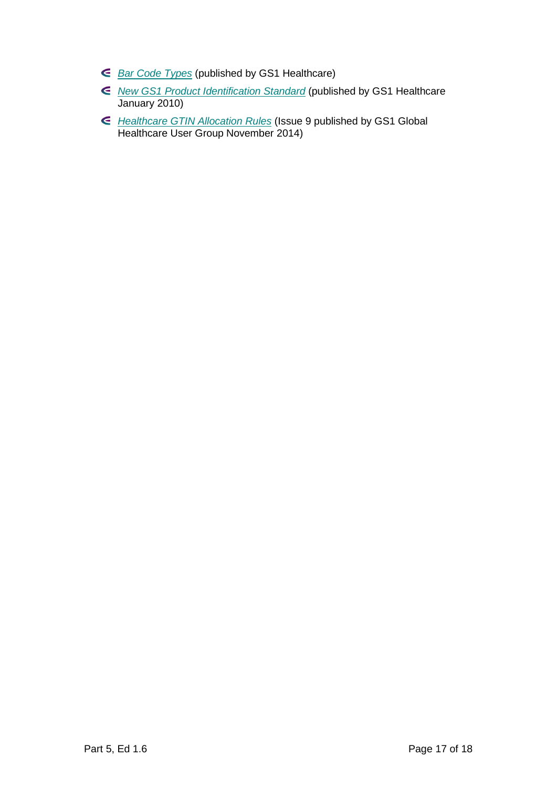- *[Bar Code Types](http://www.gs1.org/barcodes/technical/bar_code_types)* (published by GS1 Healthcare)
- *[New GS1 Product Identification Standard](http://www.gs1.org/sites/default/files/docs/media_centre/gs1_pr_210110_healthcare_AIDC_Application_Standards.pdf)* (published by GS1 Healthcare January 2010)
- *[Healthcare GTIN Allocation Rules](http://www.gs1.org/docs/gsmp/healthcare/GS1_Healthcare_GTIN_Allocation_Rules.pdf)* (Issue 9 published by GS1 Global Healthcare User Group November 2014)